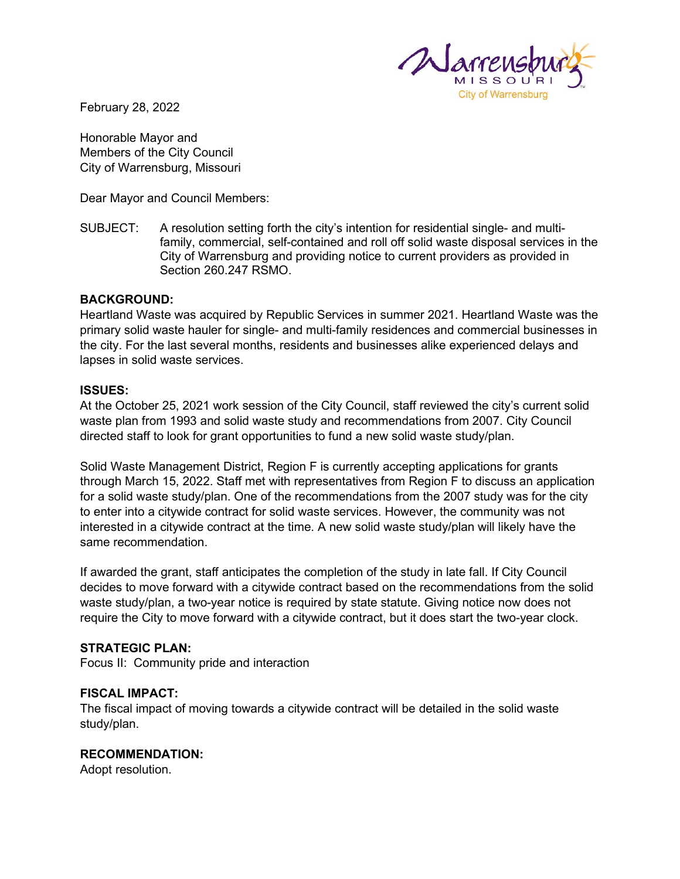

February 28, 2022

Honorable Mayor and Members of the City Council City of Warrensburg, Missouri

Dear Mayor and Council Members:

SUBJECT: A resolution setting forth the city's intention for residential single- and multifamily, commercial, self-contained and roll off solid waste disposal services in the City of Warrensburg and providing notice to current providers as provided in Section 260.247 RSMO.

# **BACKGROUND:**

Heartland Waste was acquired by Republic Services in summer 2021. Heartland Waste was the primary solid waste hauler for single- and multi-family residences and commercial businesses in the city. For the last several months, residents and businesses alike experienced delays and lapses in solid waste services.

# **ISSUES:**

At the October 25, 2021 work session of the City Council, staff reviewed the city's current solid waste plan from 1993 and solid waste study and recommendations from 2007. City Council directed staff to look for grant opportunities to fund a new solid waste study/plan.

Solid Waste Management District, Region F is currently accepting applications for grants through March 15, 2022. Staff met with representatives from Region F to discuss an application for a solid waste study/plan. One of the recommendations from the 2007 study was for the city to enter into a citywide contract for solid waste services. However, the community was not interested in a citywide contract at the time. A new solid waste study/plan will likely have the same recommendation.

If awarded the grant, staff anticipates the completion of the study in late fall. If City Council decides to move forward with a citywide contract based on the recommendations from the solid waste study/plan, a two-year notice is required by state statute. Giving notice now does not require the City to move forward with a citywide contract, but it does start the two-year clock.

# **STRATEGIC PLAN:**

Focus II: Community pride and interaction

# **FISCAL IMPACT:**

The fiscal impact of moving towards a citywide contract will be detailed in the solid waste study/plan.

# **RECOMMENDATION:**

Adopt resolution.